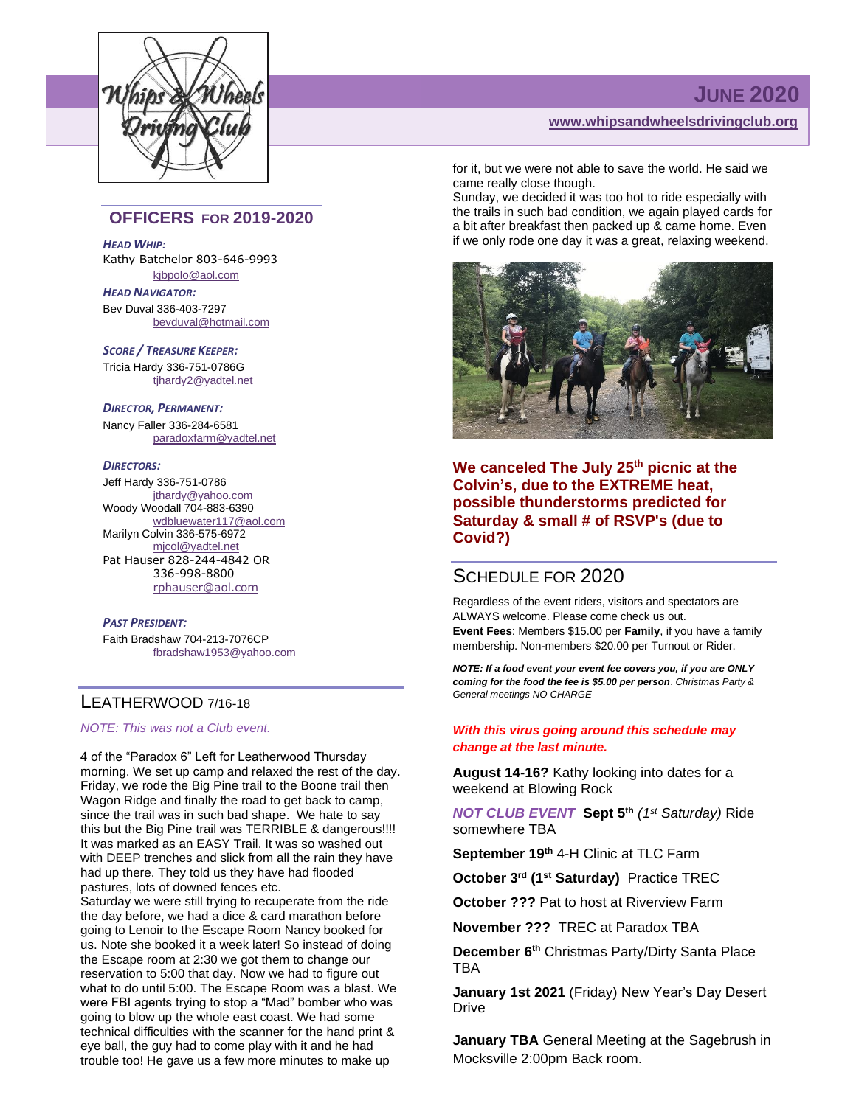

## **JUNE 2020**

**[www.whipsandwheelsdrivingclub.org](http://www.whipsandwheelsdrivingclub.org/)**

### **OFFICERS FOR 2019-2020**

*HEAD WHIP:*

Kathy Batchelor 803-646-9993 [kjbpolo@aol.com](mailto:kjbpolo@aol.com)

*HEAD NAVIGATOR:* Bev Duval 336-403-7297 [bevduval@hotmail.com](mailto:bevduval@hotmail.com)

*SCORE / TREASURE KEEPER:* Tricia Hardy 336-751-0786G tihardy2@yadtel.net

#### *DIRECTOR, PERMANENT:*

Nancy Faller 336-284-6581 [paradoxfarm@yadtel.net](mailto:paradoxfarm@yadtel.net)

#### *DIRECTORS:*

Jeff Hardy 336-751-0786 [jthardy@yahoo.com](mailto:jthardy@yahoo.com) Woody Woodall 704-883-6390 [wdbluewater117@aol.com](mailto:wdbluewater117@aol.com) Marilyn Colvin 336-575-6972 [mjcol@yadtel.net](mailto:mjcol@yadtel.net) Pat Hauser 828-244-4842 OR 336-998-8800 [rphauser@aol.com](mailto:rphauser@aol.com)

#### *PAST PRESIDENT:*

Faith Bradshaw 704-213-7076CP [fbradshaw1953@yahoo.com](mailto:fbradshaw1953@yahoo.com)

## LEATHERWOOD 7/16-18

*NOTE: This was not a Club event.*

4 of the "Paradox 6" Left for Leatherwood Thursday morning. We set up camp and relaxed the rest of the day. Friday, we rode the Big Pine trail to the Boone trail then Wagon Ridge and finally the road to get back to camp, since the trail was in such bad shape. We hate to say this but the Big Pine trail was TERRIBLE & dangerous!!!! It was marked as an EASY Trail. It was so washed out with DEEP trenches and slick from all the rain they have had up there. They told us they have had flooded pastures, lots of downed fences etc.

Saturday we were still trying to recuperate from the ride the day before, we had a dice & card marathon before going to Lenoir to the Escape Room Nancy booked for us. Note she booked it a week later! So instead of doing the Escape room at 2:30 we got them to change our reservation to 5:00 that day. Now we had to figure out what to do until 5:00. The Escape Room was a blast. We were FBI agents trying to stop a "Mad" bomber who was going to blow up the whole east coast. We had some technical difficulties with the scanner for the hand print & eye ball, the guy had to come play with it and he had trouble too! He gave us a few more minutes to make up

for it, but we were not able to save the world. He said we came really close though.

Sunday, we decided it was too hot to ride especially with the trails in such bad condition, we again played cards for a bit after breakfast then packed up & came home. Even if we only rode one day it was a great, relaxing weekend.



**We canceled The July 25th picnic at the Colvin's, due to the EXTREME heat, possible thunderstorms predicted for Saturday & small # of RSVP's (due to Covid?)**

## SCHEDULE FOR 2020

Regardless of the event riders, visitors and spectators are ALWAYS welcome. Please come check us out. **Event Fees**: Members \$15.00 per **Family**, if you have a family membership. Non-members \$20.00 per Turnout or Rider.

*NOTE: If a food event your event fee covers you, if you are ONLY coming for the food the fee is \$5.00 per person*. *Christmas Party & General meetings NO CHARGE*

#### *With this virus going around this schedule may change at the last minute.*

**August 14-16?** Kathy looking into dates for a weekend at Blowing Rock

*NOT CLUB EVENT* **Sept 5th** *(1st Saturday)* Ride somewhere TBA

**September 19th** 4-H Clinic at TLC Farm

**October 3rd (1st Saturday)** Practice TREC

**October ???** Pat to host at Riverview Farm

**November ???** TREC at Paradox TBA

**December 6th** Christmas Party/Dirty Santa Place TBA

**January 1st 2021** (Friday) New Year's Day Desert Drive

**January TBA** General Meeting at the Sagebrush in Mocksville 2:00pm Back room.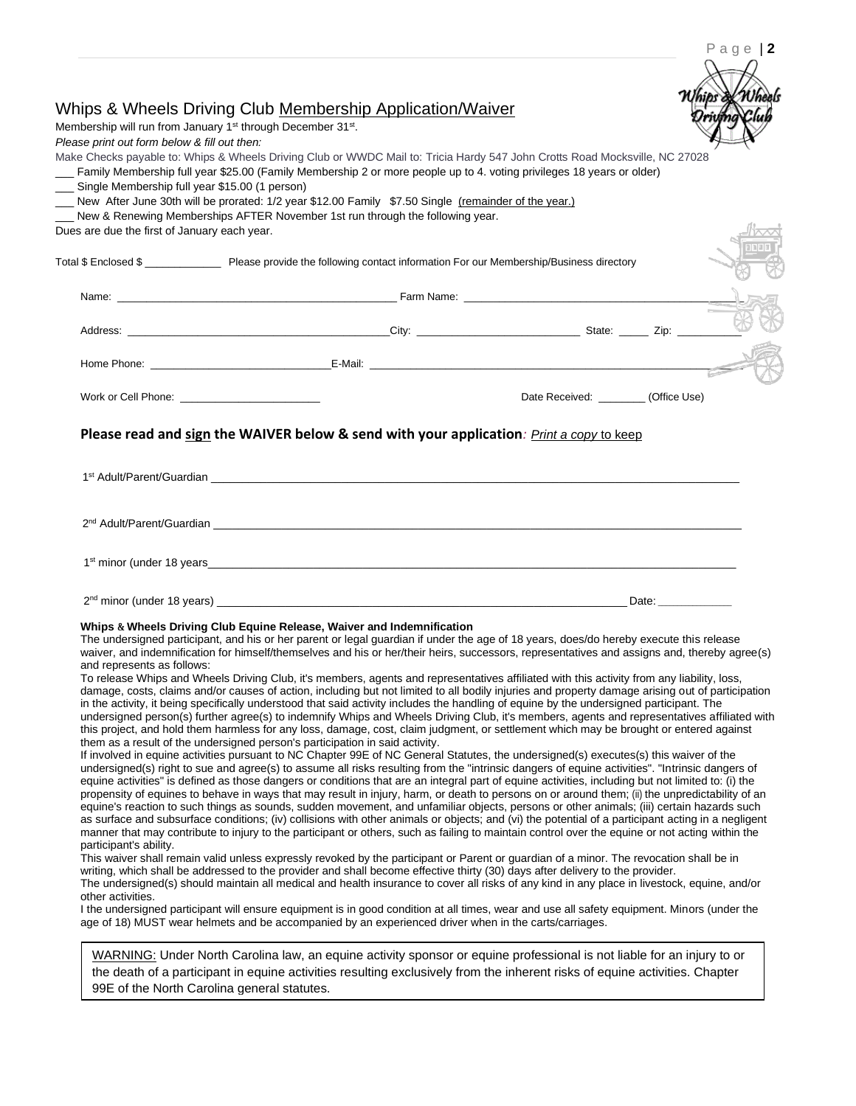|                                                | Whips & Wheels Driving Club Membership Application/Waiver<br>Membership will run from January 1 <sup>st</sup> through December 31 <sup>st</sup> .                                                                                                                                                     |                                      |  |
|------------------------------------------------|-------------------------------------------------------------------------------------------------------------------------------------------------------------------------------------------------------------------------------------------------------------------------------------------------------|--------------------------------------|--|
| Please print out form below & fill out then:   |                                                                                                                                                                                                                                                                                                       |                                      |  |
|                                                | Make Checks payable to: Whips & Wheels Driving Club or WWDC Mail to: Tricia Hardy 547 John Crotts Road Mocksville, NC 27028                                                                                                                                                                           |                                      |  |
| Single Membership full year \$15.00 (1 person) | Family Membership full year \$25.00 (Family Membership 2 or more people up to 4. voting privileges 18 years or older)                                                                                                                                                                                 |                                      |  |
|                                                | New After June 30th will be prorated: 1/2 year \$12.00 Family \$7.50 Single (remainder of the year.)                                                                                                                                                                                                  |                                      |  |
|                                                | New & Renewing Memberships AFTER November 1st run through the following year.                                                                                                                                                                                                                         |                                      |  |
| Dues are due the first of January each year.   |                                                                                                                                                                                                                                                                                                       |                                      |  |
|                                                | Total \$ Enclosed \$ ______________________ Please provide the following contact information For our Membership/Business directory                                                                                                                                                                    |                                      |  |
|                                                |                                                                                                                                                                                                                                                                                                       |                                      |  |
|                                                |                                                                                                                                                                                                                                                                                                       |                                      |  |
|                                                |                                                                                                                                                                                                                                                                                                       |                                      |  |
|                                                |                                                                                                                                                                                                                                                                                                       |                                      |  |
|                                                |                                                                                                                                                                                                                                                                                                       |                                      |  |
|                                                |                                                                                                                                                                                                                                                                                                       | Date Received: _________(Office Use) |  |
|                                                |                                                                                                                                                                                                                                                                                                       |                                      |  |
|                                                | Please read and sign the WAIVER below & send with your application: Print a copy to keep                                                                                                                                                                                                              |                                      |  |
|                                                |                                                                                                                                                                                                                                                                                                       |                                      |  |
|                                                |                                                                                                                                                                                                                                                                                                       |                                      |  |
|                                                |                                                                                                                                                                                                                                                                                                       |                                      |  |
|                                                |                                                                                                                                                                                                                                                                                                       |                                      |  |
|                                                | 2 <sup>nd</sup> Adult/Parent/Guardian et al. 2006 and 2007 and 2008 and 2008 and 2008 and 2008 and 2008 and 2008 and 2008 and 2008 and 2008 and 2008 and 2008 and 2008 and 2008 and 2008 and 2008 and 2008 and 2008 and 2008 and 2008 an                                                              |                                      |  |
|                                                |                                                                                                                                                                                                                                                                                                       |                                      |  |
|                                                |                                                                                                                                                                                                                                                                                                       |                                      |  |
|                                                |                                                                                                                                                                                                                                                                                                       |                                      |  |
|                                                |                                                                                                                                                                                                                                                                                                       |                                      |  |
|                                                | Whips & Wheels Driving Club Equine Release, Waiver and Indemnification                                                                                                                                                                                                                                |                                      |  |
|                                                | The undersigned participant, and his or her parent or legal guardian if under the age of 18 years, does/do hereby execute this release                                                                                                                                                                |                                      |  |
|                                                | waiver, and indemnification for himself/themselves and his or her/their heirs, successors, representatives and assigns and, thereby agree(s)                                                                                                                                                          |                                      |  |
| and represents as follows:                     | To release Whips and Wheels Driving Club, it's members, agents and representatives affiliated with this activity from any liability, loss,                                                                                                                                                            |                                      |  |
|                                                | damage, costs, claims and/or causes of action, including but not limited to all bodily injuries and property damage arising out of participation                                                                                                                                                      |                                      |  |
|                                                | in the activity, it being specifically understood that said activity includes the handling of equine by the undersigned participant. The                                                                                                                                                              |                                      |  |
|                                                | undersigned person(s) further agree(s) to indemnify Whips and Wheels Driving Club, it's members, agents and representatives affiliated with<br>this project, and hold them harmless for any loss, damage, cost, claim judgment, or settlement which may be brought or entered against                 |                                      |  |
|                                                | them as a result of the undersigned person's participation in said activity.                                                                                                                                                                                                                          |                                      |  |
|                                                | If involved in equine activities pursuant to NC Chapter 99E of NC General Statutes, the undersigned(s) executes(s) this waiver of the                                                                                                                                                                 |                                      |  |
|                                                | undersigned(s) right to sue and agree(s) to assume all risks resulting from the "intrinsic dangers of equine activities". "Intrinsic dangers of                                                                                                                                                       |                                      |  |
|                                                | equine activities" is defined as those dangers or conditions that are an integral part of equine activities, including but not limited to: (i) the<br>propensity of equines to behave in ways that may result in injury, harm, or death to persons on or around them; (ii) the unpredictability of an |                                      |  |
|                                                | equine's reaction to such things as sounds, sudden movement, and unfamiliar objects, persons or other animals; (iii) certain hazards such                                                                                                                                                             |                                      |  |
|                                                | as surface and subsurface conditions; (iv) collisions with other animals or objects; and (vi) the potential of a participant acting in a negligent                                                                                                                                                    |                                      |  |
| participant's ability.                         | manner that may contribute to injury to the participant or others, such as failing to maintain control over the equine or not acting within the                                                                                                                                                       |                                      |  |
|                                                | This waiver shall remain valid unless expressly revoked by the participant or Parent or guardian of a minor. The revocation shall be in                                                                                                                                                               |                                      |  |
|                                                | writing, which shall be addressed to the provider and shall become effective thirty (30) days after delivery to the provider.<br>The undersigned(s) should maintain all medical and health insurance to cover all risks of any kind in any place in livestock, equine, and/or                         |                                      |  |
| other activities.                              |                                                                                                                                                                                                                                                                                                       |                                      |  |
|                                                | I the undersigned participant will ensure equipment is in good condition at all times, wear and use all safety equipment. Minors (under the<br>age of 18) MUST wear helmets and be accompanied by an experienced driver when in the carts/carriages.                                                  |                                      |  |
|                                                |                                                                                                                                                                                                                                                                                                       |                                      |  |
|                                                | WARNING: Under North Carolina law, an equine activity sponsor or equine professional is not liable for an injury to or<br>the death of a participant in equine activities resulting exclusively from the inherent risks of equine activities. Chapter                                                 |                                      |  |